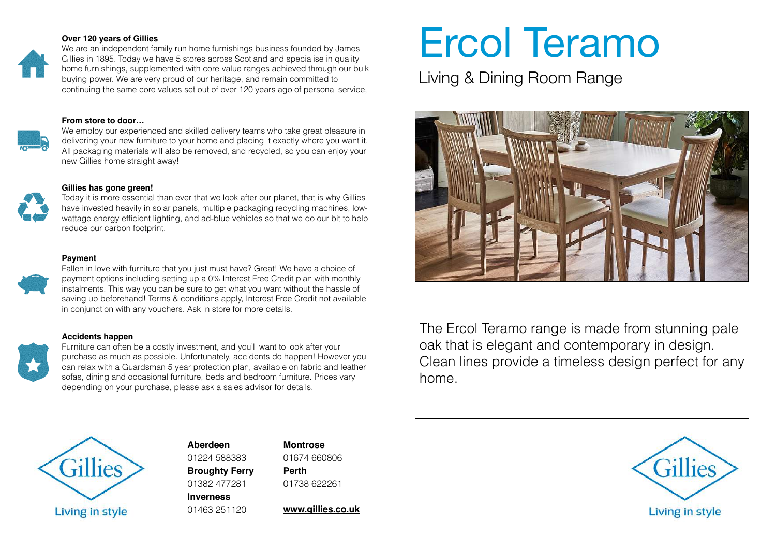### **Over 120 years of Gillies**

We are an independent family run home furnishings business founded by James Gillies in 1895. Today we have 5 stores across Scotland and specialise in quality home furnishings, supplemented with core value ranges achieved through our bulk buying power. We are very proud of our heritage, and remain committed to continuing the same core values set out of over 120 years ago of personal service,

#### **From store to door…**



We employ our experienced and skilled delivery teams who take great pleasure in delivering your new furniture to your home and placing it exactly where you want it. All packaging materials will also be removed, and recycled, so you can enjoy your new Gillies home straight away!

### **Gillies has gone green!**

Today it is more essential than ever that we look after our planet, that is why Gillies have invested heavily in solar panels, multiple packaging recycling machines, lowwattage energy efficient lighting, and ad-blue vehicles so that we do our bit to help reduce our carbon footprint.

#### **Payment**



Fallen in love with furniture that you just must have? Great! We have a choice of payment options including setting up a 0% Interest Free Credit plan with monthly instalments. This way you can be sure to get what you want without the hassle of saving up beforehand! Terms & conditions apply, Interest Free Credit not available in conjunction with any vouchers. Ask in store for more details.

### **Accidents happen**



Furniture can often be a costly investment, and you'll want to look after your purchase as much as possible. Unfortunately, accidents do happen! However you can relax with a Guardsman 5 year protection plan, available on fabric and leather sofas, dining and occasional furniture, beds and bedroom furniture. Prices vary depending on your purchase, please ask a sales advisor for details.

# Ercol Teramo

Living & Dining Room Range



The Ercol Teramo range is made from stunning pale oak that is elegant and contemporary in design. Clean lines provide a timeless design perfect for any home.



**Aberdeen**  01224 588383 **Broughty Ferry**  01382 477281

**Inverness**  01463 251120 **Montrose**  01674 660806 **Perth**  01738 622261

**[www.gillies.co.uk](http://www.gillies.co.uk)**